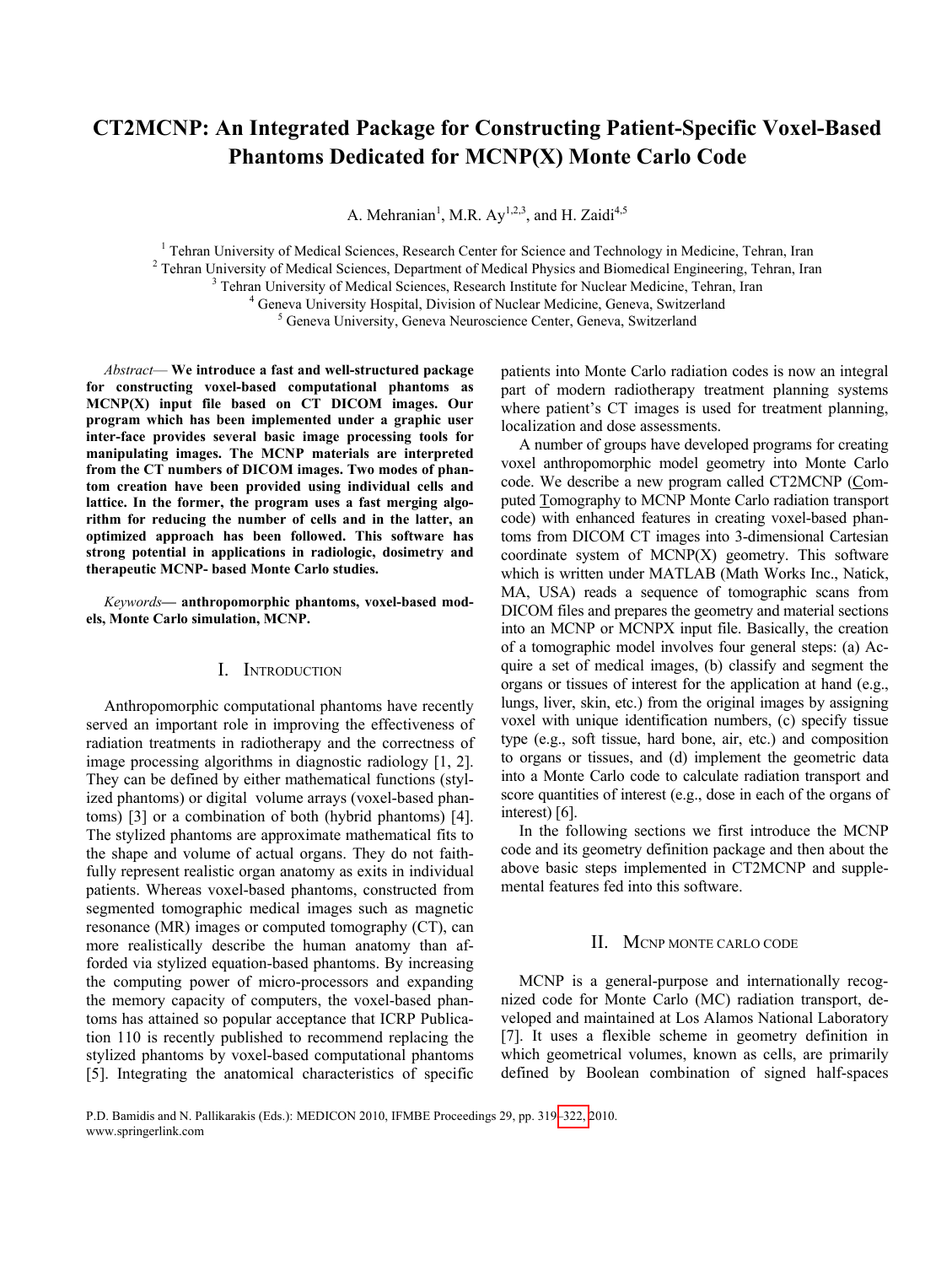# **CT2MCNP: An Integrated Package for Constructing Patient-Specific Voxel-Based Phantoms Dedicated for MCNP(X) Monte Carlo Code**

A. Mehranian<sup>1</sup>, M.R.  $Ay^{1,2,3}$ , and H. Zaidi<sup>4,5</sup>

<sup>1</sup> Tehran University of Medical Sciences, Research Center for Science and Technology in Medicine, Tehran, Iran <sup>2</sup> Tehran, Iran <sup>2</sup> Tehran, Iran <sup>2</sup> Tehran, Iran <sup>2</sup> Tehran 1.1.2. <sup>2</sup> Tehran University of Medical Sciences, Department of Medical Physics and Biomedical Engineering, Tehran, Iran <sup>3</sup> Tehran University of Medical Sciences, Research Institute for Nuclear Medicine, Tehran, Iran <sup>4</sup> Geneva University Hospital, Division of Nuclear Medicine, Geneva, Switzerland

<sup>5</sup> Geneva University, Geneva Neuroscience Center, Geneva, Switzerland

*Abstract*— **We introduce a fast and well-structured package for constructing voxel-based computational phantoms as MCNP(X) input file based on CT DICOM images. Our program which has been implemented under a graphic user inter-face provides several basic image processing tools for manipulating images. The MCNP materials are interpreted from the CT numbers of DICOM images. Two modes of phantom creation have been provided using individual cells and lattice. In the former, the program uses a fast merging algorithm for reducing the number of cells and in the latter, an optimized approach has been followed. This software has strong potential in applications in radiologic, dosimetry and therapeutic MCNP- based Monte Carlo studies.** 

*Keywords***— anthropomorphic phantoms, voxel-based models, Monte Carlo simulation, MCNP.** 

#### I. INTRODUCTION

Anthropomorphic computational phantoms have recently served an important role in improving the effectiveness of radiation treatments in radiotherapy and the correctness of image processing algorithms in diagnostic radiology [1, 2]. They can be defined by either mathematical functions (stylized phantoms) or digital volume arrays (voxel-based phantoms) [3] or a combination of both (hybrid phantoms) [4]. The stylized phantoms are approximate mathematical fits to the shape and volume of actual organs. They do not faithfully represent realistic organ anatomy as exits in individual patients. Whereas voxel-based phantoms, constructed from segmented tomographic medical images such as magnetic resonance (MR) images or computed tomography (CT), can more realistically describe the human anatomy than afforded via stylized equation-based phantoms. By increasing the computing power of micro-processors and expanding the memory capacity of computers, the voxel-based phantoms has attained so popular acceptance that ICRP Publication 110 is recently published to recommend replacing the stylized phantoms by voxel-based computational phantoms [5]. Integrating the anatomical characteristics of specific

patients into Monte Carlo radiation codes is now an integral part of modern radiotherapy treatment planning systems where patient's CT images is used for treatment planning, localization and dose assessments.

A number of groups have developed programs for creating voxel anthropomorphic model geometry into Monte Carlo code. We describe a new program called CT2MCNP (Computed Tomography to MCNP Monte Carlo radiation transport code) with enhanced features in creating voxel-based phantoms from DICOM CT images into 3-dimensional Cartesian coordinate system of MCNP(X) geometry. This software which is written under MATLAB (Math Works Inc., Natick, MA, USA) reads a sequence of tomographic scans from DICOM files and prepares the geometry and material sections into an MCNP or MCNPX input file. Basically, the creation of a tomographic model involves four general steps: (a) Acquire a set of medical images, (b) classify and segment the organs or tissues of interest for the application at hand (e.g., lungs, liver, skin, etc.) from the original images by assigning voxel with unique identification numbers, (c) specify tissue type (e.g., soft tissue, hard bone, air, etc.) and composition to organs or tissues, and (d) implement the geometric data into a Monte Carlo code to calculate radiation transport and score quantities of interest (e.g., dose in each of the organs of interest) [6].

In the following sections we first introduce the MCNP code and its geometry definition package and then about the above basic steps implemented in CT2MCNP and supplemental features fed into this software.

#### II. MCNP MONTE CARLO CODE

MCNP is a general-purpose and internationally recognized code for Monte Carlo (MC) radiation transport, developed and maintained at Los Alamos National Laboratory [7]. It uses a flexible scheme in geometry definition in which geometrical volumes, known as cells, are primarily defined by Boolean combination of signed half-spaces

P.D. Bamidis and N. Pallikarakis (Eds.): MEDICON 2010, IFMBE Proceedings 29, pp. 319[–322,](#page-3-0) 2010. www.springerlink.com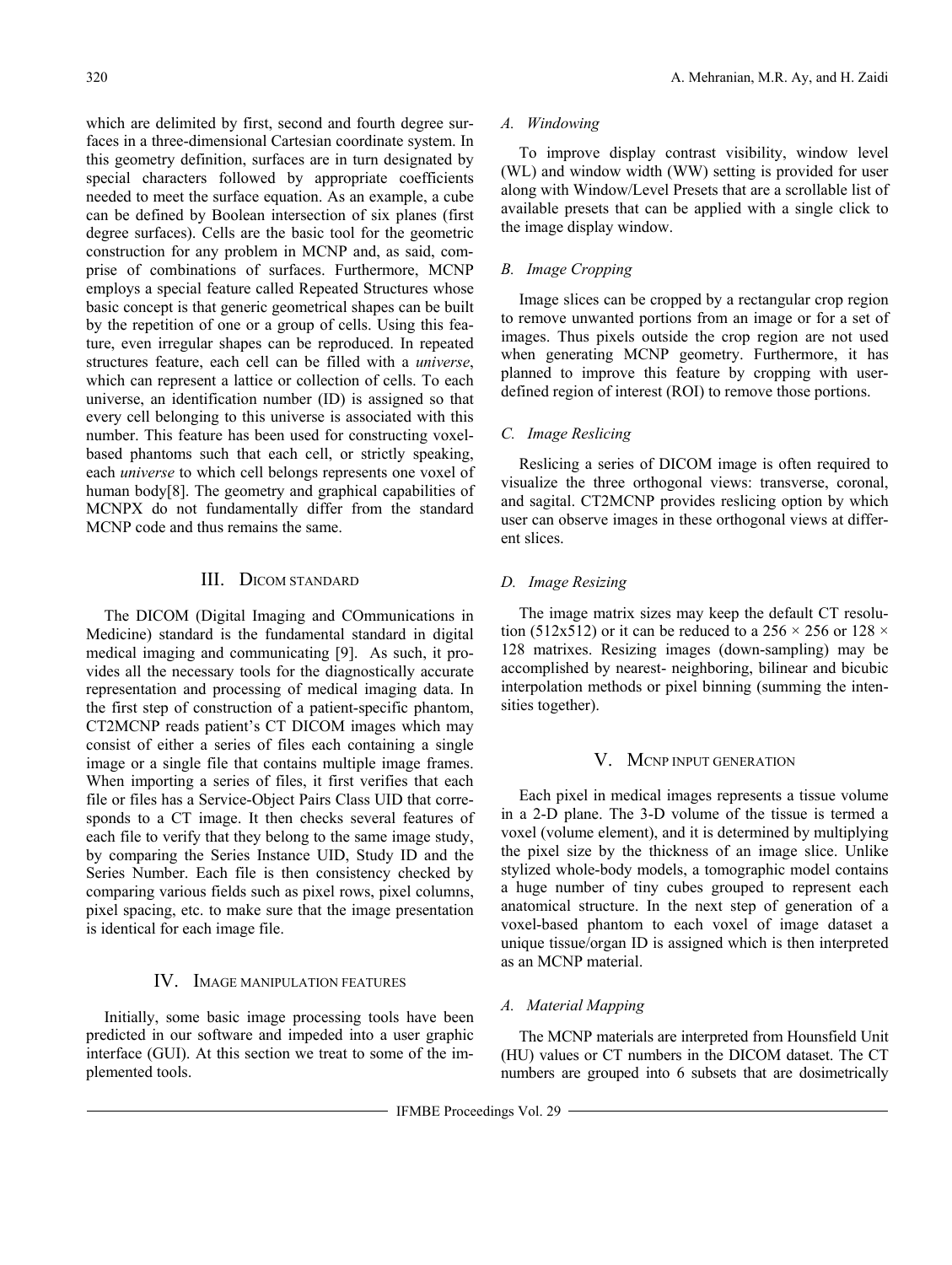which are delimited by first, second and fourth degree surfaces in a three-dimensional Cartesian coordinate system. In this geometry definition, surfaces are in turn designated by special characters followed by appropriate coefficients needed to meet the surface equation. As an example, a cube can be defined by Boolean intersection of six planes (first degree surfaces). Cells are the basic tool for the geometric construction for any problem in MCNP and, as said, comprise of combinations of surfaces. Furthermore, MCNP employs a special feature called Repeated Structures whose basic concept is that generic geometrical shapes can be built by the repetition of one or a group of cells. Using this feature, even irregular shapes can be reproduced. In repeated structures feature, each cell can be filled with a *universe*, which can represent a lattice or collection of cells. To each universe, an identification number (ID) is assigned so that every cell belonging to this universe is associated with this number. This feature has been used for constructing voxelbased phantoms such that each cell, or strictly speaking, each *universe* to which cell belongs represents one voxel of human body[8]. The geometry and graphical capabilities of MCNPX do not fundamentally differ from the standard MCNP code and thus remains the same.

### III. DICOM STANDARD

The DICOM (Digital Imaging and COmmunications in Medicine) standard is the fundamental standard in digital medical imaging and communicating [9]. As such, it provides all the necessary tools for the diagnostically accurate representation and processing of medical imaging data. In the first step of construction of a patient-specific phantom, CT2MCNP reads patient's CT DICOM images which may consist of either a series of files each containing a single image or a single file that contains multiple image frames. When importing a series of files, it first verifies that each file or files has a Service-Object Pairs Class UID that corresponds to a CT image. It then checks several features of each file to verify that they belong to the same image study, by comparing the Series Instance UID, Study ID and the Series Number. Each file is then consistency checked by comparing various fields such as pixel rows, pixel columns, pixel spacing, etc. to make sure that the image presentation is identical for each image file.

# IV. IMAGE MANIPULATION FEATURES

Initially, some basic image processing tools have been predicted in our software and impeded into a user graphic interface (GUI). At this section we treat to some of the implemented tools.

#### *A. Windowing*

To improve display contrast visibility, window level (WL) and window width (WW) setting is provided for user along with Window/Level Presets that are a scrollable list of available presets that can be applied with a single click to the image display window.

## *B. Image Cropping*

Image slices can be cropped by a rectangular crop region to remove unwanted portions from an image or for a set of images. Thus pixels outside the crop region are not used when generating MCNP geometry. Furthermore, it has planned to improve this feature by cropping with userdefined region of interest (ROI) to remove those portions.

#### *C. Image Reslicing*

Reslicing a series of DICOM image is often required to visualize the three orthogonal views: transverse, coronal, and sagital. CT2MCNP provides reslicing option by which user can observe images in these orthogonal views at different slices.

#### *D. Image Resizing*

The image matrix sizes may keep the default CT resolution (512x512) or it can be reduced to a 256  $\times$  256 or 128  $\times$ 128 matrixes. Resizing images (down-sampling) may be accomplished by nearest- neighboring, bilinear and bicubic interpolation methods or pixel binning (summing the intensities together).

## V. MCNP INPUT GENERATION

Each pixel in medical images represents a tissue volume in a 2-D plane. The 3-D volume of the tissue is termed a voxel (volume element), and it is determined by multiplying the pixel size by the thickness of an image slice. Unlike stylized whole-body models, a tomographic model contains a huge number of tiny cubes grouped to represent each anatomical structure. In the next step of generation of a voxel-based phantom to each voxel of image dataset a unique tissue/organ ID is assigned which is then interpreted as an MCNP material.

#### *A. Material Mapping*

The MCNP materials are interpreted from Hounsfield Unit (HU) values or CT numbers in the DICOM dataset. The CT numbers are grouped into 6 subsets that are dosimetrically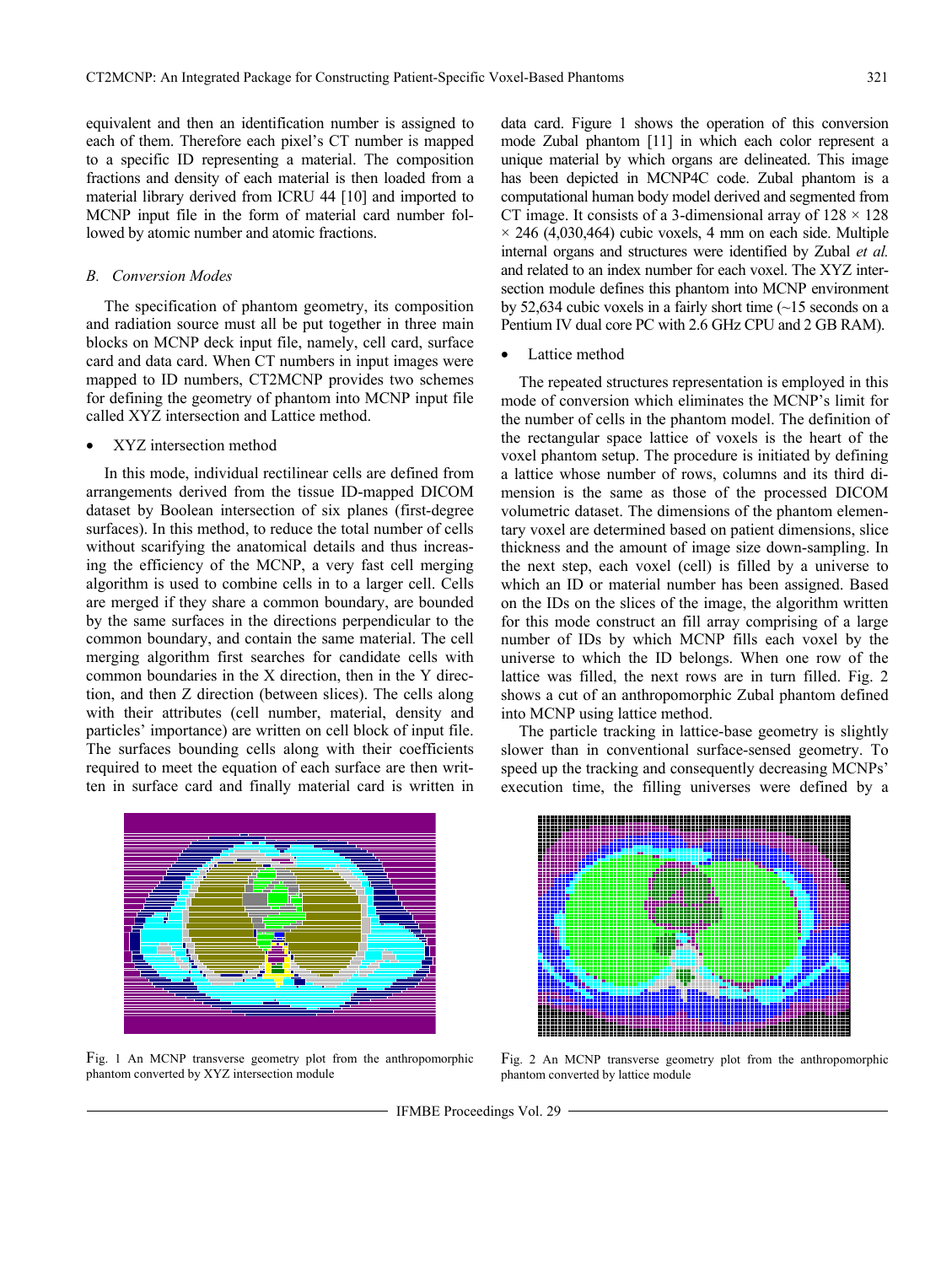equivalent and then an identification number is assigned to each of them. Therefore each pixel's CT number is mapped to a specific ID representing a material. The composition fractions and density of each material is then loaded from a material library derived from ICRU 44 [10] and imported to MCNP input file in the form of material card number followed by atomic number and atomic fractions.

#### *B. Conversion Modes*

The specification of phantom geometry, its composition and radiation source must all be put together in three main blocks on MCNP deck input file, namely, cell card, surface card and data card. When CT numbers in input images were mapped to ID numbers, CT2MCNP provides two schemes for defining the geometry of phantom into MCNP input file called XYZ intersection and Lattice method.

#### • XYZ intersection method

In this mode, individual rectilinear cells are defined from arrangements derived from the tissue ID-mapped DICOM dataset by Boolean intersection of six planes (first-degree surfaces). In this method, to reduce the total number of cells without scarifying the anatomical details and thus increasing the efficiency of the MCNP, a very fast cell merging algorithm is used to combine cells in to a larger cell. Cells are merged if they share a common boundary, are bounded by the same surfaces in the directions perpendicular to the common boundary, and contain the same material. The cell merging algorithm first searches for candidate cells with common boundaries in the X direction, then in the Y direction, and then Z direction (between slices). The cells along with their attributes (cell number, material, density and particles' importance) are written on cell block of input file. The surfaces bounding cells along with their coefficients required to meet the equation of each surface are then written in surface card and finally material card is written in



Fig. 1 An MCNP transverse geometry plot from the anthropomorphic phantom converted by XYZ intersection module

data card. Figure 1 shows the operation of this conversion mode Zubal phantom [11] in which each color represent a unique material by which organs are delineated. This image has been depicted in MCNP4C code. Zubal phantom is a computational human body model derived and segmented from CT image. It consists of a 3-dimensional array of  $128 \times 128$  $\times$  246 (4,030,464) cubic voxels, 4 mm on each side. Multiple internal organs and structures were identified by Zubal *et al.*  and related to an index number for each voxel. The XYZ intersection module defines this phantom into MCNP environment by 52,634 cubic voxels in a fairly short time (~15 seconds on a Pentium IV dual core PC with 2.6 GHz CPU and 2 GB RAM).

Lattice method

The repeated structures representation is employed in this mode of conversion which eliminates the MCNP's limit for the number of cells in the phantom model. The definition of the rectangular space lattice of voxels is the heart of the voxel phantom setup. The procedure is initiated by defining a lattice whose number of rows, columns and its third dimension is the same as those of the processed DICOM volumetric dataset. The dimensions of the phantom elementary voxel are determined based on patient dimensions, slice thickness and the amount of image size down-sampling. In the next step, each voxel (cell) is filled by a universe to which an ID or material number has been assigned. Based on the IDs on the slices of the image, the algorithm written for this mode construct an fill array comprising of a large number of IDs by which MCNP fills each voxel by the universe to which the ID belongs. When one row of the lattice was filled, the next rows are in turn filled. Fig. 2 shows a cut of an anthropomorphic Zubal phantom defined into MCNP using lattice method.

The particle tracking in lattice-base geometry is slightly slower than in conventional surface-sensed geometry. To speed up the tracking and consequently decreasing MCNPs' execution time, the filling universes were defined by a



Fig. 2 An MCNP transverse geometry plot from the anthropomorphic phantom converted by lattice module

IFMBE Proceedings Vol. 29